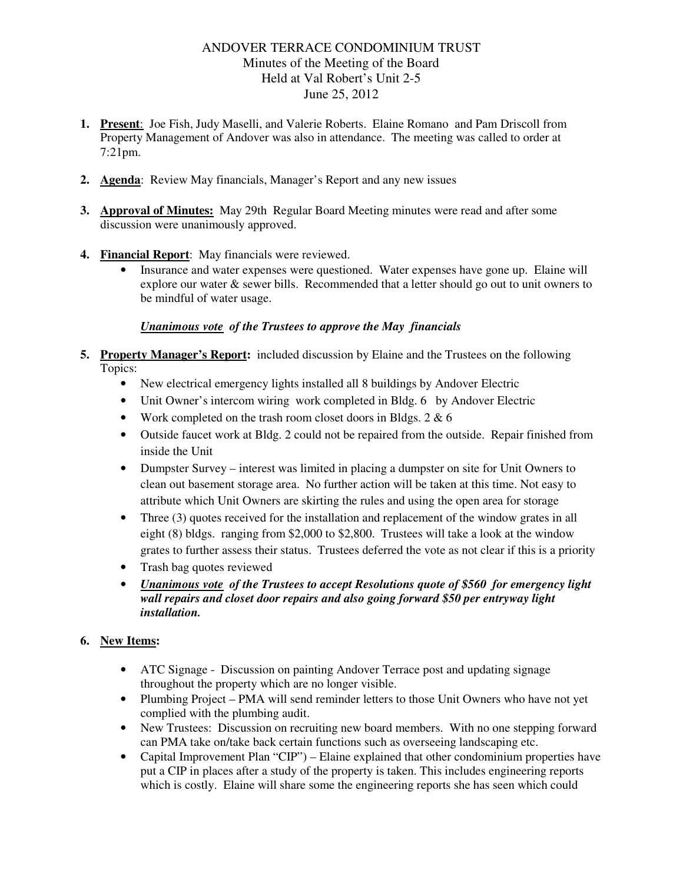## ANDOVER TERRACE CONDOMINIUM TRUST Minutes of the Meeting of the Board Held at Val Robert's Unit 2-5 June 25, 2012

- **1. Present**: Joe Fish, Judy Maselli, and Valerie Roberts. Elaine Romano and Pam Driscoll from Property Management of Andover was also in attendance. The meeting was called to order at 7:21pm.
- **2. Agenda**: Review May financials, Manager's Report and any new issues
- **3. Approval of Minutes:** May 29th Regular Board Meeting minutes were read and after some discussion were unanimously approved.
- **4. Financial Report**: May financials were reviewed.
	- Insurance and water expenses were questioned. Water expenses have gone up. Elaine will explore our water & sewer bills. Recommended that a letter should go out to unit owners to be mindful of water usage.

## *Unanimous vote of the Trustees to approve the May financials*

- **5. Property Manager's Report:** included discussion by Elaine and the Trustees on the following Topics:
	- New electrical emergency lights installed all 8 buildings by Andover Electric
	- Unit Owner's intercom wiring work completed in Bldg. 6 by Andover Electric
	- Work completed on the trash room closet doors in Bldgs. 2 & 6
	- Outside faucet work at Bldg. 2 could not be repaired from the outside. Repair finished from inside the Unit
	- Dumpster Survey interest was limited in placing a dumpster on site for Unit Owners to clean out basement storage area. No further action will be taken at this time. Not easy to attribute which Unit Owners are skirting the rules and using the open area for storage
	- Three (3) quotes received for the installation and replacement of the window grates in all eight (8) bldgs. ranging from \$2,000 to \$2,800. Trustees will take a look at the window grates to further assess their status. Trustees deferred the vote as not clear if this is a priority
	- Trash bag quotes reviewed
	- *Unanimous vote of the Trustees to accept Resolutions quote of \$560 for emergency light wall repairs and closet door repairs and also going forward \$50 per entryway light installation.*

## **6. New Items:**

- ATC Signage Discussion on painting Andover Terrace post and updating signage throughout the property which are no longer visible.
- Plumbing Project PMA will send reminder letters to those Unit Owners who have not yet complied with the plumbing audit.
- New Trustees: Discussion on recruiting new board members. With no one stepping forward can PMA take on/take back certain functions such as overseeing landscaping etc.
- Capital Improvement Plan "CIP") Elaine explained that other condominium properties have put a CIP in places after a study of the property is taken. This includes engineering reports which is costly. Elaine will share some the engineering reports she has seen which could